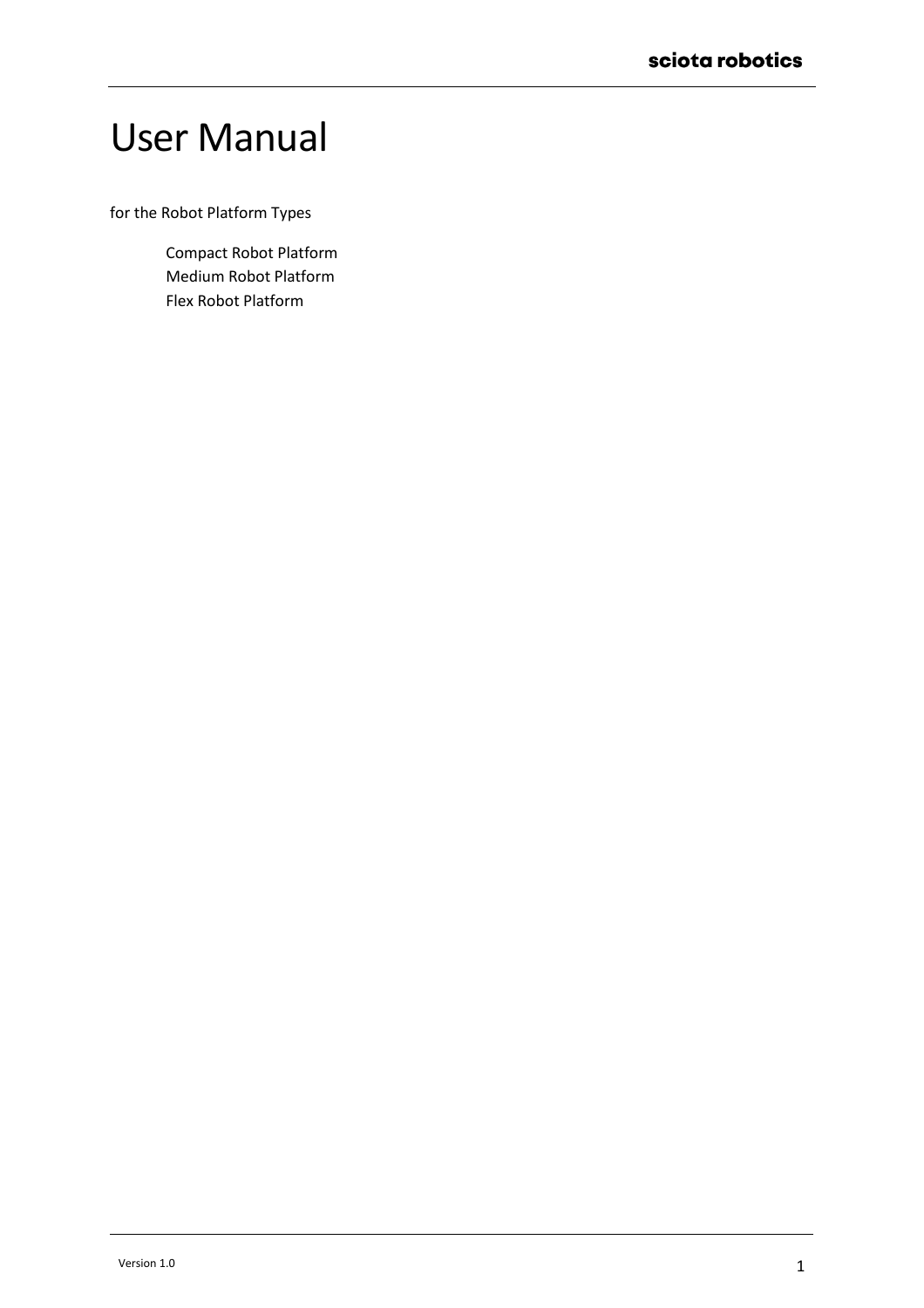# User Manual

for the Robot Platform Types

Compact Robot Platform Medium Robot Platform Flex Robot Platform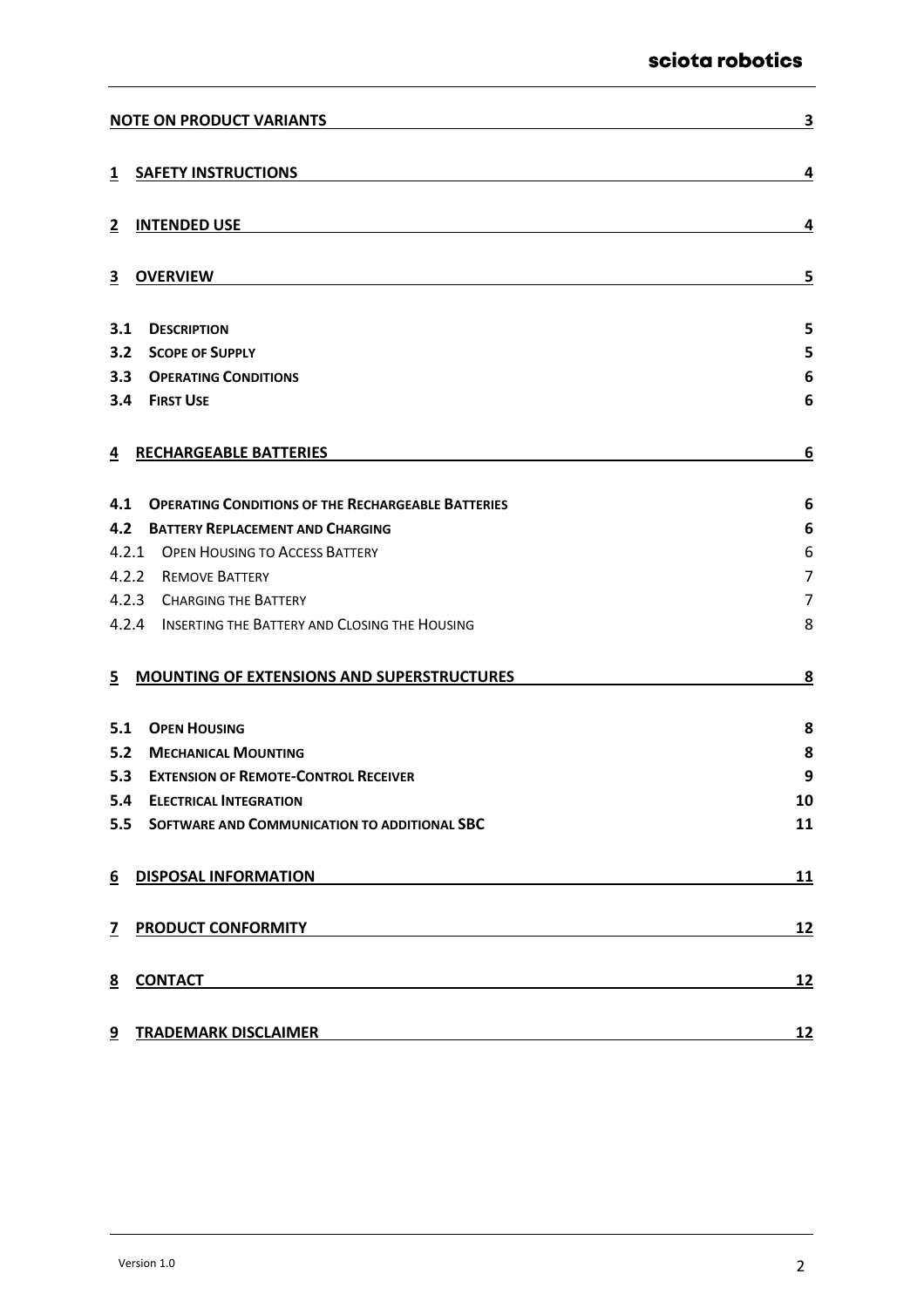| <b>NOTE ON PRODUCT VARIANTS</b>                                                                                                                                                                                                           | 3              |
|-------------------------------------------------------------------------------------------------------------------------------------------------------------------------------------------------------------------------------------------|----------------|
| <b>SAFETY INSTRUCTIONS</b><br>1                                                                                                                                                                                                           | 4              |
| <b>INTENDED USE</b><br>2                                                                                                                                                                                                                  | 4              |
| <b>OVERVIEW</b><br>$\overline{3}$                                                                                                                                                                                                         | 5              |
| 3.1<br><b>DESCRIPTION</b>                                                                                                                                                                                                                 | 5              |
| 3.2<br><b>SCOPE OF SUPPLY</b>                                                                                                                                                                                                             | 5              |
| 3.3<br><b>OPERATING CONDITIONS</b>                                                                                                                                                                                                        | 6              |
| 3.4<br><b>FIRST USE</b>                                                                                                                                                                                                                   | 6              |
| <b>RECHARGEABLE BATTERIES</b><br>4                                                                                                                                                                                                        | 6              |
| 4.1<br><b>OPERATING CONDITIONS OF THE RECHARGEABLE BATTERIES</b>                                                                                                                                                                          | 6              |
| 4.2<br><b>BATTERY REPLACEMENT AND CHARGING</b>                                                                                                                                                                                            | 6              |
| 4.2.1 OPEN HOUSING TO ACCESS BATTERY                                                                                                                                                                                                      | 6              |
| 4.2.2<br><b>REMOVE BATTERY</b>                                                                                                                                                                                                            | $\overline{7}$ |
| 4.2.3 CHARGING THE BATTERY                                                                                                                                                                                                                | $\overline{7}$ |
| 4.2.4 INSERTING THE BATTERY AND CLOSING THE HOUSING                                                                                                                                                                                       | 8              |
| <b>MOUNTING OF EXTENSIONS AND SUPERSTRUCTURES</b><br>5                                                                                                                                                                                    | 8              |
| 5.1<br><b>OPEN HOUSING</b>                                                                                                                                                                                                                | 8              |
| 5.2<br><b>MECHANICAL MOUNTING</b>                                                                                                                                                                                                         | 8              |
| 5.3<br><b>EXTENSION OF REMOTE-CONTROL RECEIVER</b>                                                                                                                                                                                        | 9              |
| 5.4<br><b>ELECTRICAL INTEGRATION</b>                                                                                                                                                                                                      | 10             |
| 5.5<br>SOFTWARE AND COMMUNICATION TO ADDITIONAL SBC                                                                                                                                                                                       | 11             |
| 6 DISPOSAL INFORMATION<br><u> 1989 - Johann Stein, Amerikaansk politiker (* 1958)</u>                                                                                                                                                     | <u>11</u>      |
| <u>7 PRODUCT CONFORMITY</u> <b>EXAMPLE 2008 2012 12:00:00 PRODUCT CONFORMITY</b>                                                                                                                                                          | <u>12</u>      |
| <u>CONTACT Example and the contract of the contract of the contract of the contract of the contract of the contract of the contract of the contract of the contract of the contract of the contract of the contract of the contr</u><br>8 | <u>12</u>      |
| <b>TRADEMARK DISCLAIMER</b><br>9<br><u> 1980 - Johann Barn, mars ann an t-Amhain Aonaich an t-Aonaich an t-Aonaich an t-Aonaich an t-Aonaich an t-Aon</u>                                                                                 | <u>12</u>      |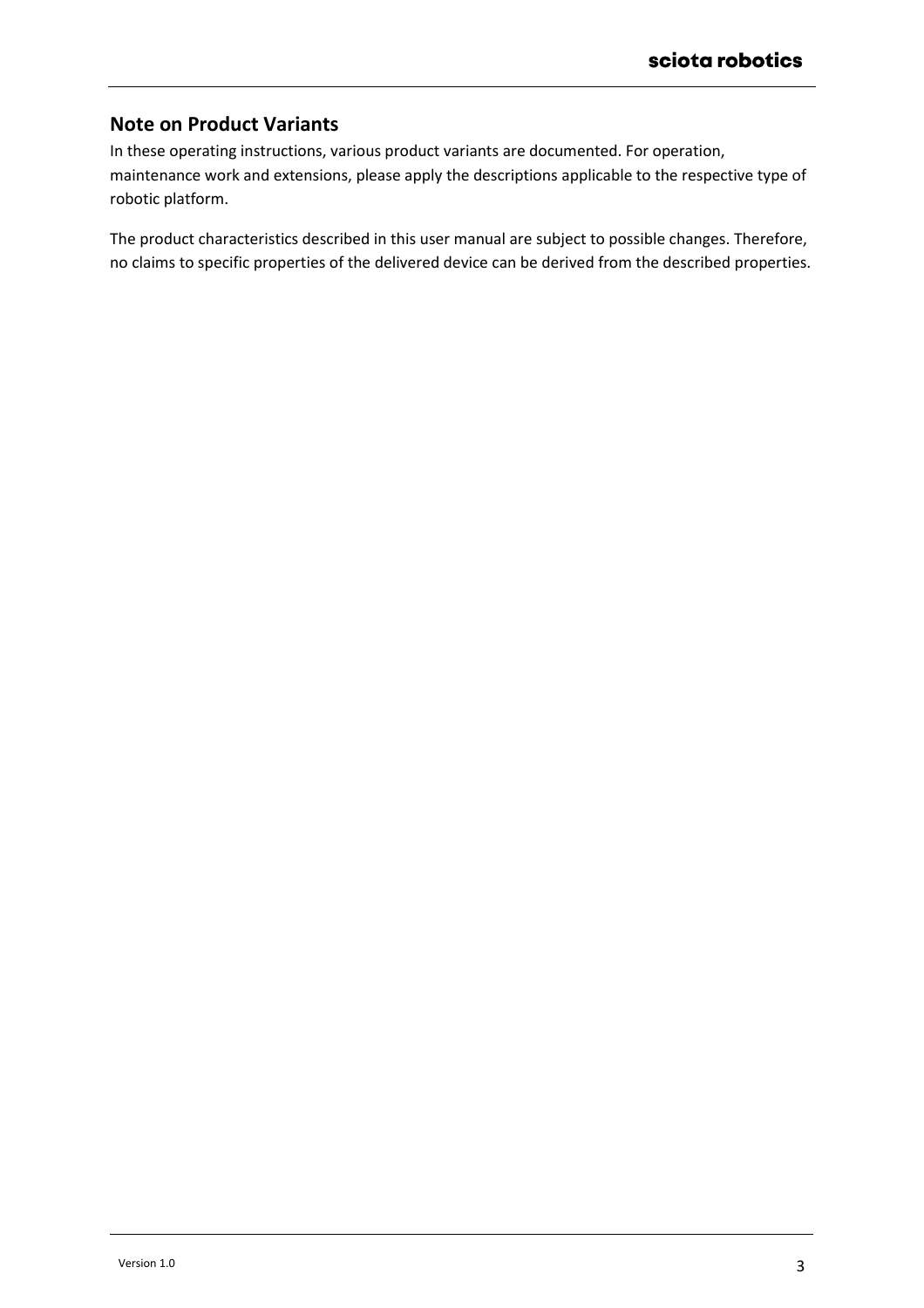# <span id="page-2-0"></span>**Note on Product Variants**

In these operating instructions, various product variants are documented. For operation, maintenance work and extensions, please apply the descriptions applicable to the respective type of robotic platform.

The product characteristics described in this user manual are subject to possible changes. Therefore, no claims to specific properties of the delivered device can be derived from the described properties.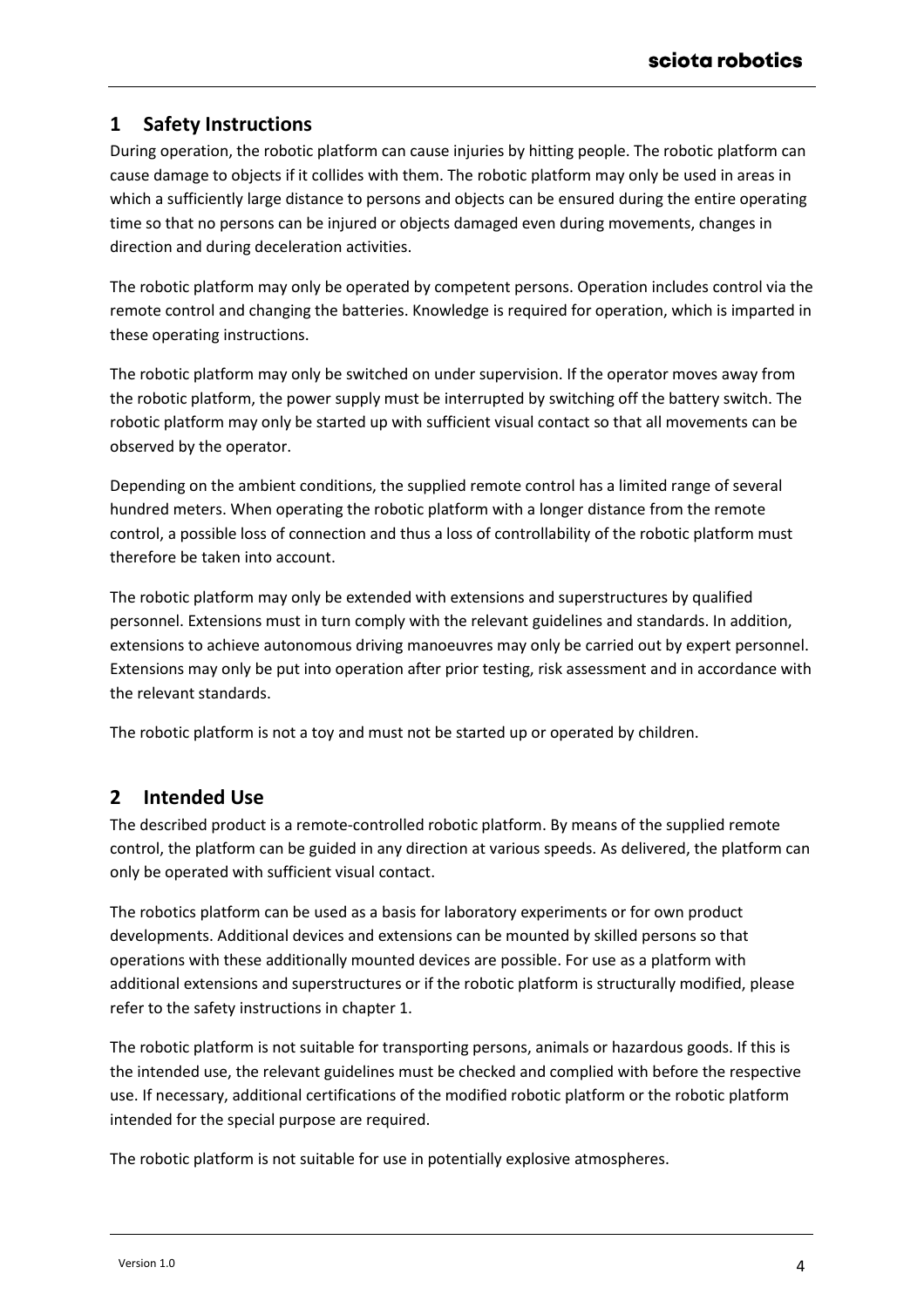# <span id="page-3-0"></span>**1 Safety Instructions**

During operation, the robotic platform can cause injuries by hitting people. The robotic platform can cause damage to objects if it collides with them. The robotic platform may only be used in areas in which a sufficiently large distance to persons and objects can be ensured during the entire operating time so that no persons can be injured or objects damaged even during movements, changes in direction and during deceleration activities.

The robotic platform may only be operated by competent persons. Operation includes control via the remote control and changing the batteries. Knowledge is required for operation, which is imparted in these operating instructions.

The robotic platform may only be switched on under supervision. If the operator moves away from the robotic platform, the power supply must be interrupted by switching off the battery switch. The robotic platform may only be started up with sufficient visual contact so that all movements can be observed by the operator.

Depending on the ambient conditions, the supplied remote control has a limited range of several hundred meters. When operating the robotic platform with a longer distance from the remote control, a possible loss of connection and thus a loss of controllability of the robotic platform must therefore be taken into account.

The robotic platform may only be extended with extensions and superstructures by qualified personnel. Extensions must in turn comply with the relevant guidelines and standards. In addition, extensions to achieve autonomous driving manoeuvres may only be carried out by expert personnel. Extensions may only be put into operation after prior testing, risk assessment and in accordance with the relevant standards.

The robotic platform is not a toy and must not be started up or operated by children.

# <span id="page-3-1"></span>**2 Intended Use**

The described product is a remote-controlled robotic platform. By means of the supplied remote control, the platform can be guided in any direction at various speeds. As delivered, the platform can only be operated with sufficient visual contact.

The robotics platform can be used as a basis for laboratory experiments or for own product developments. Additional devices and extensions can be mounted by skilled persons so that operations with these additionally mounted devices are possible. For use as a platform with additional extensions and superstructures or if the robotic platform is structurally modified, please refer to the safety instructions in chapter [1.](#page-3-0)

The robotic platform is not suitable for transporting persons, animals or hazardous goods. If this is the intended use, the relevant guidelines must be checked and complied with before the respective use. If necessary, additional certifications of the modified robotic platform or the robotic platform intended for the special purpose are required.

The robotic platform is not suitable for use in potentially explosive atmospheres.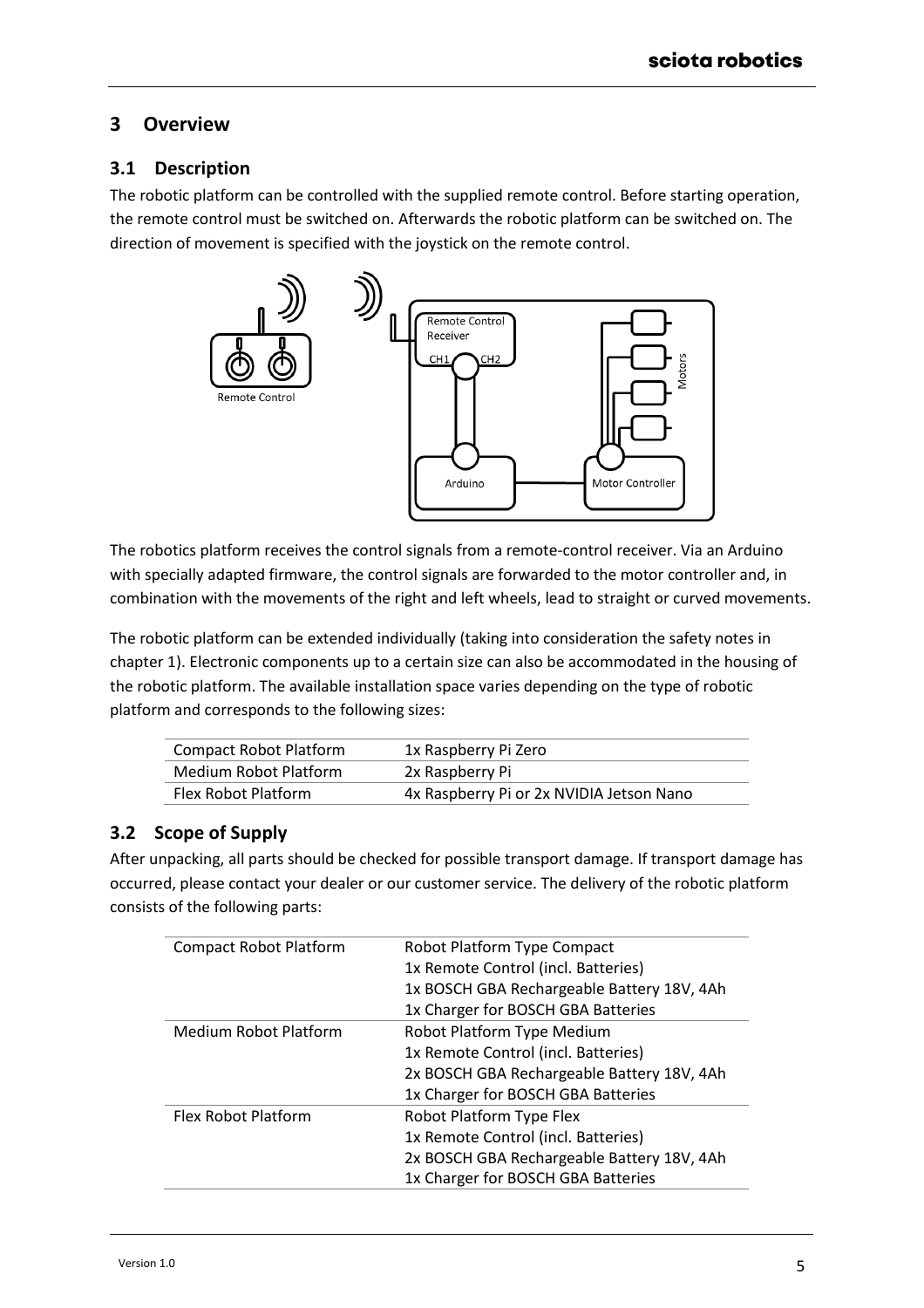# <span id="page-4-0"></span>**3 Overview**

## <span id="page-4-1"></span>**3.1 Description**

The robotic platform can be controlled with the supplied remote control. Before starting operation, the remote control must be switched on. Afterwards the robotic platform can be switched on. The direction of movement is specified with the joystick on the remote control.



The robotics platform receives the control signals from a remote-control receiver. Via an Arduino with specially adapted firmware, the control signals are forwarded to the motor controller and, in combination with the movements of the right and left wheels, lead to straight or curved movements.

The robotic platform can be extended individually (taking into consideration the safety notes in chapter [1\)](#page-3-0). Electronic components up to a certain size can also be accommodated in the housing of the robotic platform. The available installation space varies depending on the type of robotic platform and corresponds to the following sizes:

| Compact Robot Platform | 1x Raspberry Pi Zero                     |
|------------------------|------------------------------------------|
| Medium Robot Platform  | 2x Raspberry Pi                          |
| Flex Robot Platform    | 4x Raspberry Pi or 2x NVIDIA Jetson Nano |

# <span id="page-4-2"></span>**3.2 Scope of Supply**

After unpacking, all parts should be checked for possible transport damage. If transport damage has occurred, please contact your dealer or our customer service. The delivery of the robotic platform consists of the following parts:

| <b>Compact Robot Platform</b> | Robot Platform Type Compact                |
|-------------------------------|--------------------------------------------|
|                               | 1x Remote Control (incl. Batteries)        |
|                               | 1x BOSCH GBA Rechargeable Battery 18V, 4Ah |
|                               | 1x Charger for BOSCH GBA Batteries         |
| <b>Medium Robot Platform</b>  | Robot Platform Type Medium                 |
|                               | 1x Remote Control (incl. Batteries)        |
|                               | 2x BOSCH GBA Rechargeable Battery 18V, 4Ah |
|                               | 1x Charger for BOSCH GBA Batteries         |
| Flex Robot Platform           | Robot Platform Type Flex                   |
|                               | 1x Remote Control (incl. Batteries)        |
|                               | 2x BOSCH GBA Rechargeable Battery 18V, 4Ah |
|                               | 1x Charger for BOSCH GBA Batteries         |
|                               |                                            |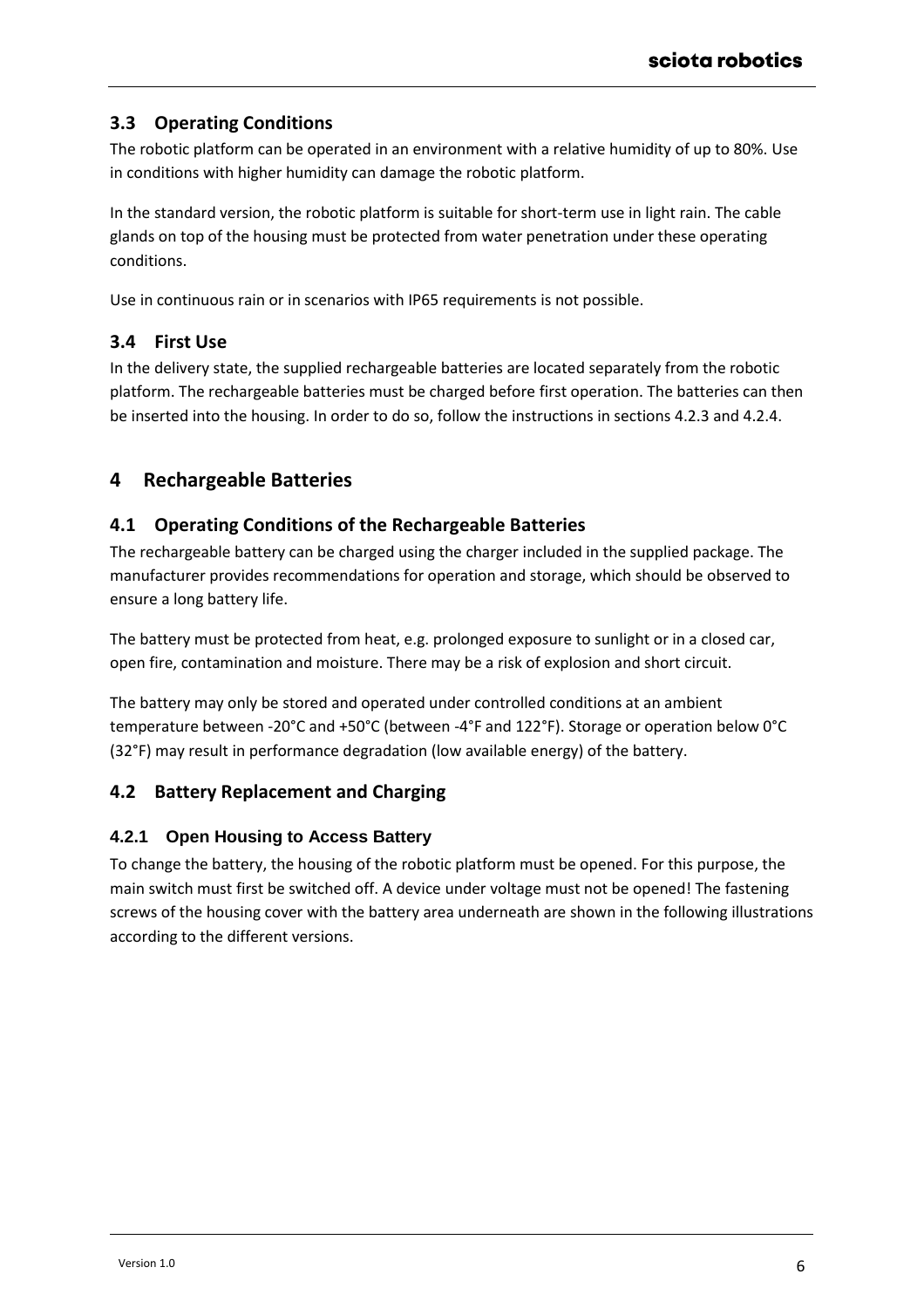## <span id="page-5-0"></span>**3.3 Operating Conditions**

The robotic platform can be operated in an environment with a relative humidity of up to 80%. Use in conditions with higher humidity can damage the robotic platform.

In the standard version, the robotic platform is suitable for short-term use in light rain. The cable glands on top of the housing must be protected from water penetration under these operating conditions.

Use in continuous rain or in scenarios with IP65 requirements is not possible.

## <span id="page-5-1"></span>**3.4 First Use**

In the delivery state, the supplied rechargeable batteries are located separately from the robotic platform. The rechargeable batteries must be charged before first operation. The batteries can then be inserted into the housing. In order to do so, follow the instructions in sections [4.2.3](#page-6-1) and [4.2.4.](#page-7-0)

# <span id="page-5-2"></span>**4 Rechargeable Batteries**

## <span id="page-5-3"></span>**4.1 Operating Conditions of the Rechargeable Batteries**

The rechargeable battery can be charged using the charger included in the supplied package. The manufacturer provides recommendations for operation and storage, which should be observed to ensure a long battery life.

The battery must be protected from heat, e.g. prolonged exposure to sunlight or in a closed car, open fire, contamination and moisture. There may be a risk of explosion and short circuit.

The battery may only be stored and operated under controlled conditions at an ambient temperature between -20°C and +50°C (between -4°F and 122°F). Storage or operation below 0°C (32°F) may result in performance degradation (low available energy) of the battery.

## <span id="page-5-4"></span>**4.2 Battery Replacement and Charging**

#### <span id="page-5-5"></span>**4.2.1 Open Housing to Access Battery**

To change the battery, the housing of the robotic platform must be opened. For this purpose, the main switch must first be switched off. A device under voltage must not be opened! The fastening screws of the housing cover with the battery area underneath are shown in the following illustrations according to the different versions.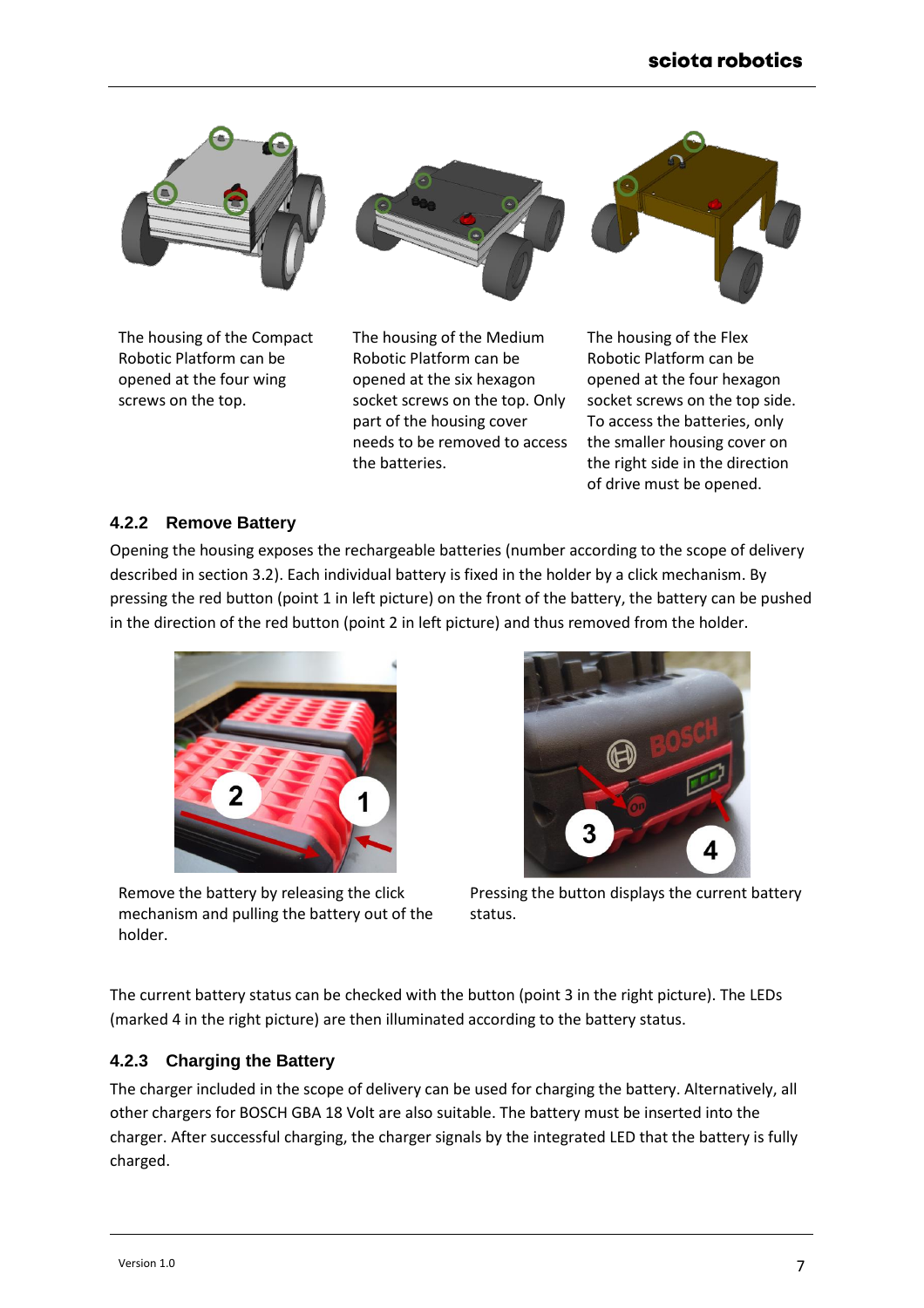

The housing of the Compact Robotic Platform can be opened at the four wing screws on the top.



The housing of the Medium Robotic Platform can be opened at the six hexagon socket screws on the top. Only part of the housing cover needs to be removed to access the batteries.



## <span id="page-6-0"></span>**4.2.2 Remove Battery**

Opening the housing exposes the rechargeable batteries (number according to the scope of delivery described in section [3.2\)](#page-4-2). Each individual battery is fixed in the holder by a click mechanism. By pressing the red button (point 1 in left picture) on the front of the battery, the battery can be pushed in the direction of the red button (point 2 in left picture) and thus removed from the holder.



Remove the battery by releasing the click mechanism and pulling the battery out of the holder.



Pressing the button displays the current battery status.

The current battery status can be checked with the button (point 3 in the right picture). The LEDs (marked 4 in the right picture) are then illuminated according to the battery status.

#### <span id="page-6-1"></span>**4.2.3 Charging the Battery**

The charger included in the scope of delivery can be used for charging the battery. Alternatively, all other chargers for BOSCH GBA 18 Volt are also suitable. The battery must be inserted into the charger. After successful charging, the charger signals by the integrated LED that the battery is fully charged.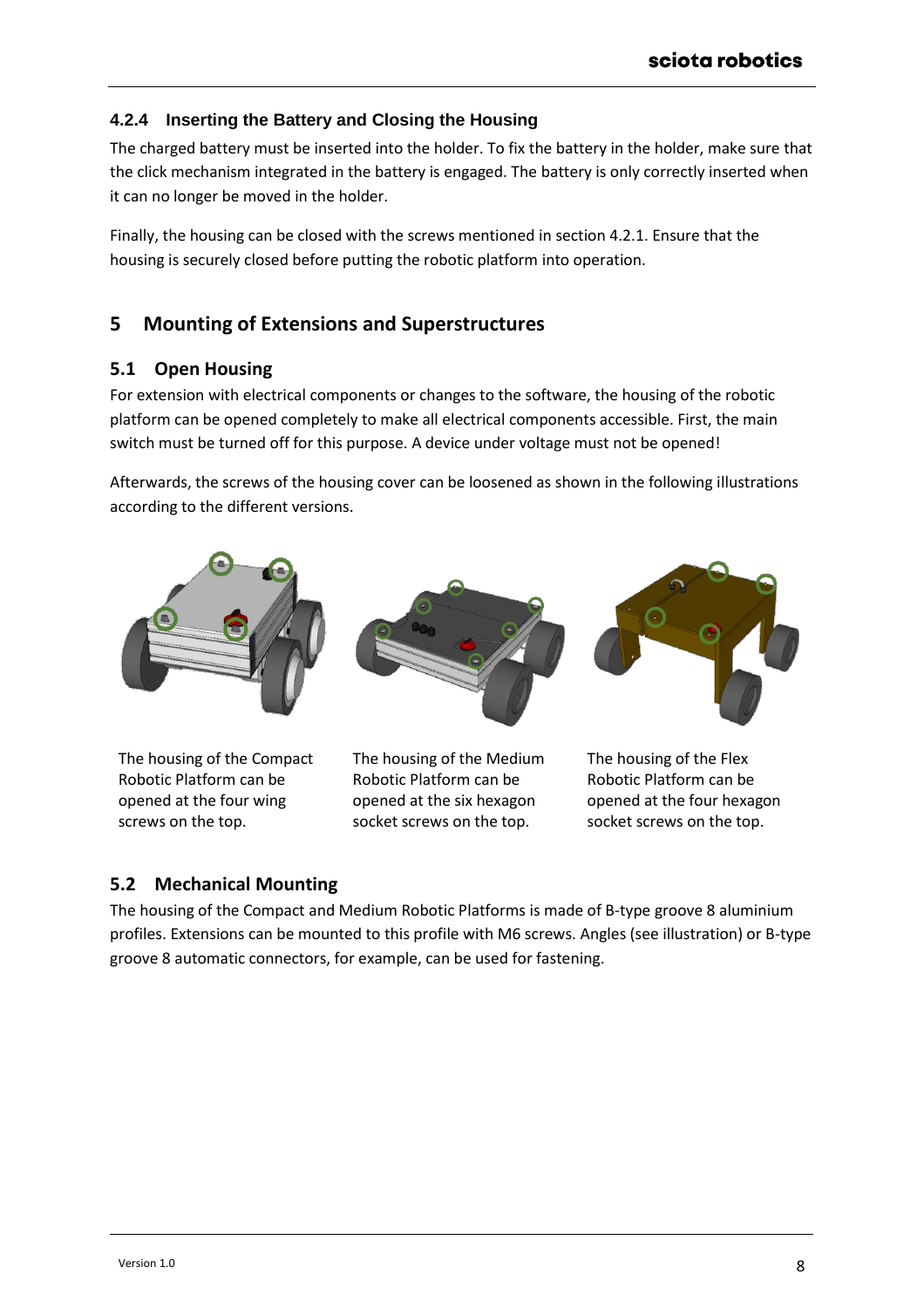## <span id="page-7-0"></span>**4.2.4 Inserting the Battery and Closing the Housing**

The charged battery must be inserted into the holder. To fix the battery in the holder, make sure that the click mechanism integrated in the battery is engaged. The battery is only correctly inserted when it can no longer be moved in the holder.

Finally, the housing can be closed with the screws mentioned in section [4.2.1.](#page-5-5) Ensure that the housing is securely closed before putting the robotic platform into operation.

# <span id="page-7-1"></span>**5 Mounting of Extensions and Superstructures**

#### <span id="page-7-2"></span>**5.1 Open Housing**

For extension with electrical components or changes to the software, the housing of the robotic platform can be opened completely to make all electrical components accessible. First, the main switch must be turned off for this purpose. A device under voltage must not be opened!

Afterwards, the screws of the housing cover can be loosened as shown in the following illustrations according to the different versions.



The housing of the Compact Robotic Platform can be opened at the four wing screws on the top.





The housing of the Flex Robotic Platform can be opened at the four hexagon socket screws on the top.

## <span id="page-7-3"></span>**5.2 Mechanical Mounting**

The housing of the Compact and Medium Robotic Platforms is made of B-type groove 8 aluminium profiles. Extensions can be mounted to this profile with M6 screws. Angles (see illustration) or B-type groove 8 automatic connectors, for example, can be used for fastening.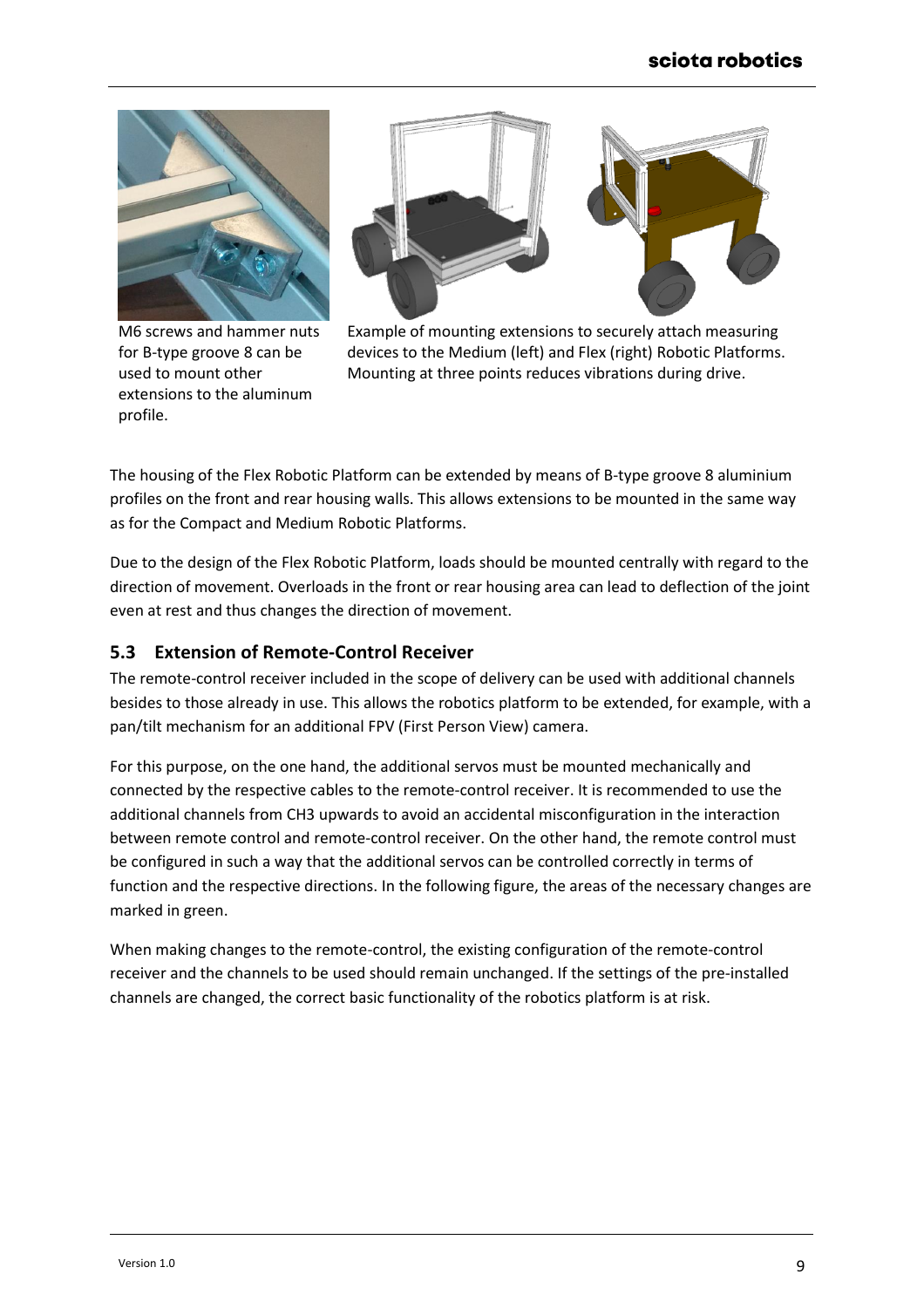

M6 screws and hammer nuts for B-type groove 8 can be used to mount other extensions to the aluminum profile.



Example of mounting extensions to securely attach measuring devices to the Medium (left) and Flex (right) Robotic Platforms. Mounting at three points reduces vibrations during drive.

The housing of the Flex Robotic Platform can be extended by means of B-type groove 8 aluminium profiles on the front and rear housing walls. This allows extensions to be mounted in the same way as for the Compact and Medium Robotic Platforms.

Due to the design of the Flex Robotic Platform, loads should be mounted centrally with regard to the direction of movement. Overloads in the front or rear housing area can lead to deflection of the joint even at rest and thus changes the direction of movement.

## <span id="page-8-0"></span>**5.3 Extension of Remote-Control Receiver**

The remote-control receiver included in the scope of delivery can be used with additional channels besides to those already in use. This allows the robotics platform to be extended, for example, with a pan/tilt mechanism for an additional FPV (First Person View) camera.

For this purpose, on the one hand, the additional servos must be mounted mechanically and connected by the respective cables to the remote-control receiver. It is recommended to use the additional channels from CH3 upwards to avoid an accidental misconfiguration in the interaction between remote control and remote-control receiver. On the other hand, the remote control must be configured in such a way that the additional servos can be controlled correctly in terms of function and the respective directions. In the following figure, the areas of the necessary changes are marked in green.

When making changes to the remote-control, the existing configuration of the remote-control receiver and the channels to be used should remain unchanged. If the settings of the pre-installed channels are changed, the correct basic functionality of the robotics platform is at risk.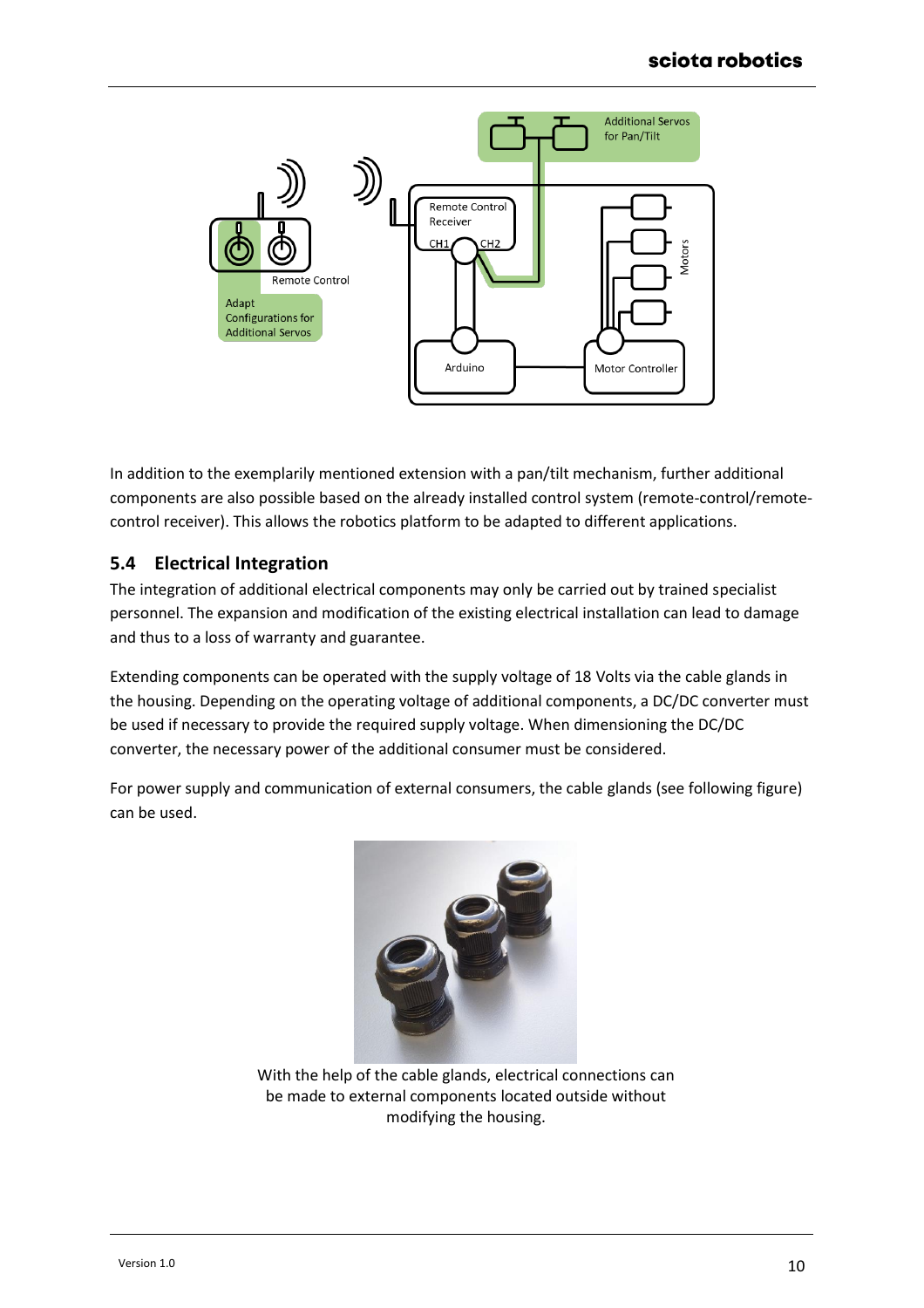

In addition to the exemplarily mentioned extension with a pan/tilt mechanism, further additional components are also possible based on the already installed control system (remote-control/remotecontrol receiver). This allows the robotics platform to be adapted to different applications.

#### <span id="page-9-0"></span>**5.4 Electrical Integration**

The integration of additional electrical components may only be carried out by trained specialist personnel. The expansion and modification of the existing electrical installation can lead to damage and thus to a loss of warranty and guarantee.

Extending components can be operated with the supply voltage of 18 Volts via the cable glands in the housing. Depending on the operating voltage of additional components, a DC/DC converter must be used if necessary to provide the required supply voltage. When dimensioning the DC/DC converter, the necessary power of the additional consumer must be considered.

For power supply and communication of external consumers, the cable glands (see following figure) can be used.



With the help of the cable glands, electrical connections can be made to external components located outside without modifying the housing.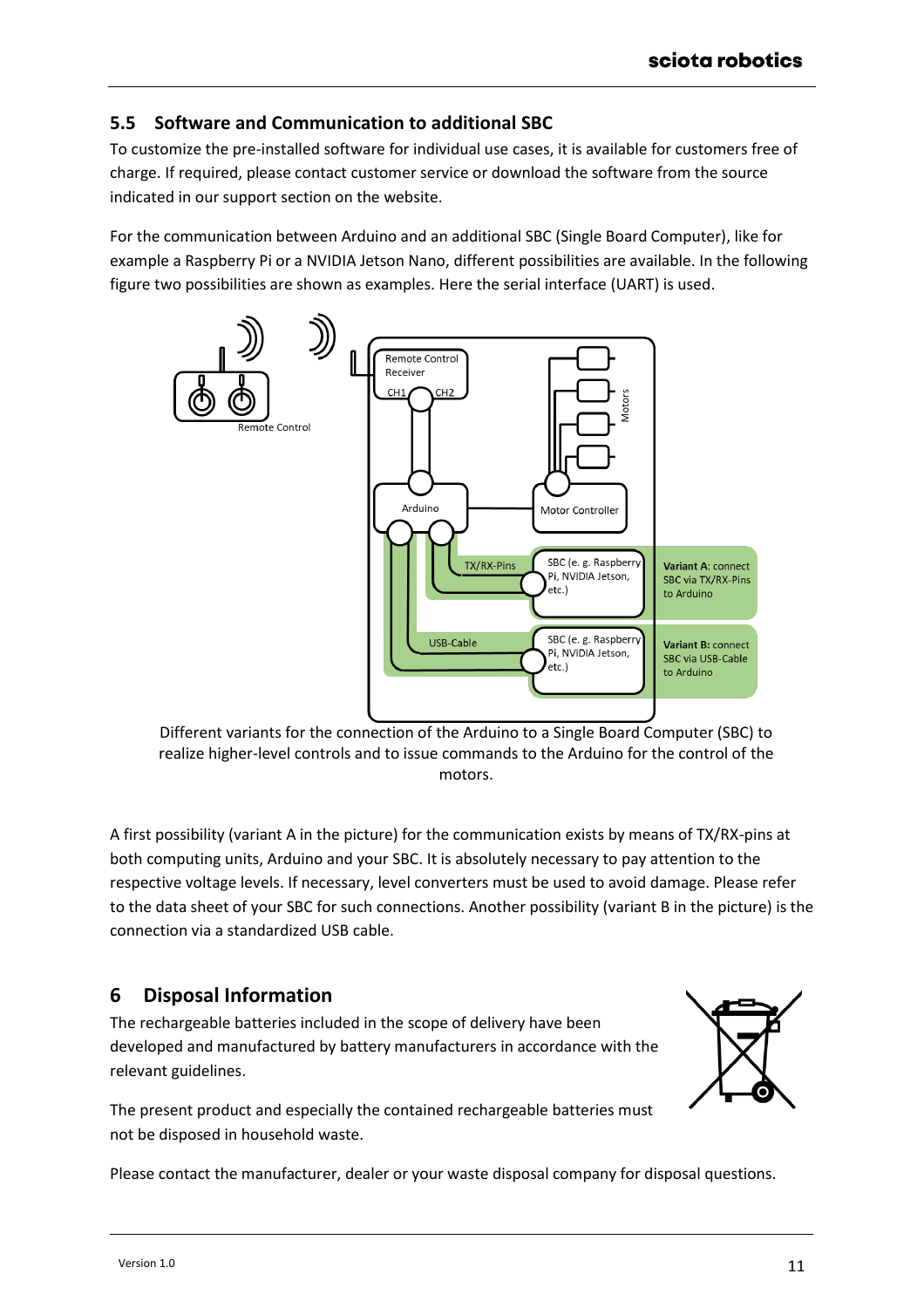## <span id="page-10-0"></span>**5.5 Software and Communication to additional SBC**

To customize the pre-installed software for individual use cases, it is available for customers free of charge. If required, please contact customer service or download the software from the source indicated in our support section on the website.

For the communication between Arduino and an additional SBC (Single Board Computer), like for example a Raspberry Pi or a NVIDIA Jetson Nano, different possibilities are available. In the following figure two possibilities are shown as examples. Here the serial interface (UART) is used.



Different variants for the connection of the Arduino to a Single Board Computer (SBC) to realize higher-level controls and to issue commands to the Arduino for the control of the motors.

A first possibility (variant A in the picture) for the communication exists by means of TX/RX-pins at both computing units, Arduino and your SBC. It is absolutely necessary to pay attention to the respective voltage levels. If necessary, level converters must be used to avoid damage. Please refer to the data sheet of your SBC for such connections. Another possibility (variant B in the picture) is the connection via a standardized USB cable.

# <span id="page-10-1"></span>**6 Disposal Information**

The rechargeable batteries included in the scope of delivery have been developed and manufactured by battery manufacturers in accordance with the relevant guidelines.

The present product and especially the contained rechargeable batteries must not be disposed in household waste.



Please contact the manufacturer, dealer or your waste disposal company for disposal questions.